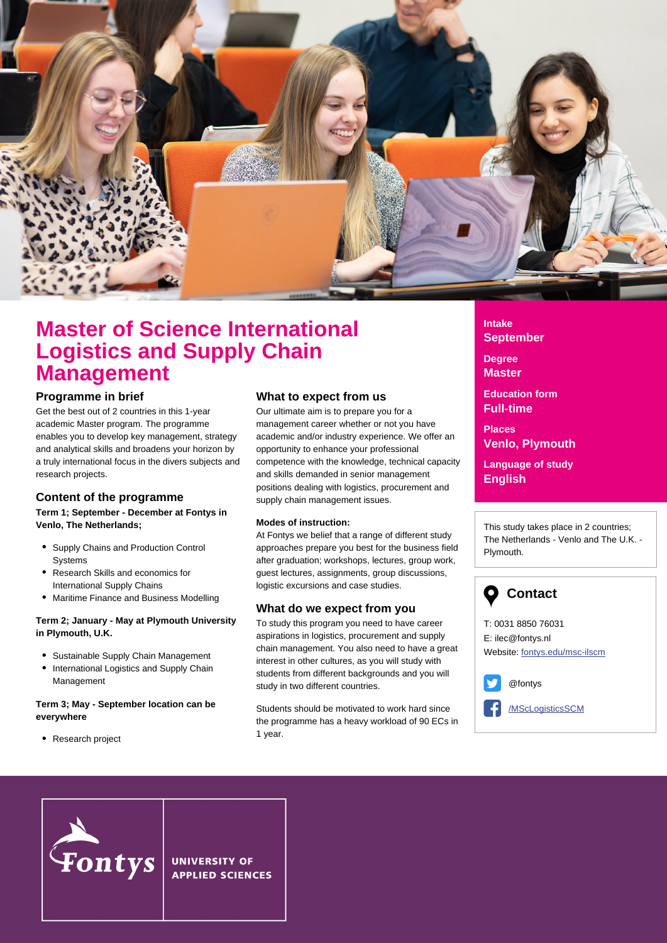

## **Master of Science International Logistics and Supply Chain Management**

### **Programme in brief**

Get the best out of 2 countries in this 1-year academic Master program. The programme enables you to develop key management, strategy and analytical skills and broadens your horizon by a truly international focus in the divers subjects and research projects.

### **Content of the programme**

### **Term 1; September - December at Fontys in Venlo, The Netherlands;**

- Supply Chains and Production Control **Systems**
- Research Skills and economics for International Supply Chains
- Maritime Finance and Business Modelling

### **Term 2; January - May at Plymouth University in Plymouth, U.K.**

- Sustainable Supply Chain Management
- International Logistics and Supply Chain Management

### **Term 3; May - September location can be everywhere**

• Research project

### **What to expect from us**

Our ultimate aim is to prepare you for a management career whether or not you have academic and/or industry experience. We offer an opportunity to enhance your professional competence with the knowledge, technical capacity and skills demanded in senior management positions dealing with logistics, procurement and supply chain management issues.

### **Modes of instruction:**

At Fontys we belief that a range of different study approaches prepare you best for the business field after graduation; workshops, lectures, group work, guest lectures, assignments, group discussions, logistic excursions and case studies.

### **What do we expect from you**

To study this program you need to have career aspirations in logistics, procurement and supply chain management. You also need to have a great interest in other cultures, as you will study with students from different backgrounds and you will study in two different countries.

Students should be motivated to work hard since the programme has a heavy workload of 90 ECs in 1 year.

**Intake September**

**Degree Master**

**Education form Full-time**

**Places Venlo, Plymouth**

**Language of study English**

This study takes place in 2 countries; The Netherlands - Venlo and The U.K. - Plymouth.

# **Contact**

T: 0031 8850 76031 E: ilec@fontys.nl Website: [fontys.edu/msc-ilscm](http://fontys.edu/msc-ilscm/)



[/MScLogisticsSCM](https://www.facebook.com/MScLogisticsSCM)



**UNIVERSITY OF APPLIED SCIENCES**